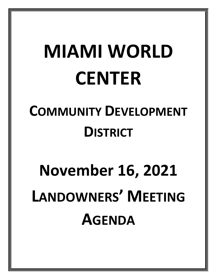## **MIAMI WORLD CENTER**

### **COMMUNITY DEVELOPMENT DISTRICT**

# **November 16, 2021 LANDOWNERS' MEETING AGENDA**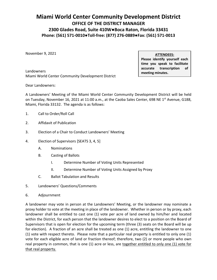#### **Miami World Center Community Development District OFFICE OF THE DISTRICT MANAGER 2300 Glades Road, Suite 410W●Boca Raton, Florida 33431 Phone: (561) 571-0010●Toll-free: (877) 276-0889●Fax: (561) 571-0013**

November 9, 2021

Landowners Miami World Center Community Development District **ATTENDEES:** 

 **Please identify yourself each time you speak to facilitate accurate transcription of meeting minutes.** 

Dear Landowners:

 A Landowners' Meeting of the Miami World Center Community Development District will be held on Tuesday, November 16, 2021 at 11:00 a.m., at the Caoba Sales Center, 698 NE 1<sup>st</sup> Avenue, G188,  Miami, Florida 33132. The agenda is as follows:

- 1. Call to Order/Roll Call
- 2. Affidavit of Publication
- 3. Election of a Chair to Conduct Landowners' Meeting
- 4. Election of Supervisors [SEATS 3, 4, 5]
	- A. Nominations
	- B. Casting of Ballots
		- I. Determine Number of Voting Units Represented
		- II. Determine Number of Voting Units Assigned by Proxy
	- C. Ballot Tabulation and Results
- 5. Landowners' Questions/Comments
- 6. Adjournment

 A landowner may vote in person at the Landowners' Meeting, or the landowner may nominate a proxy holder to vote at the meeting in place of the landowner. Whether in person or by proxy, each landowner shall be entitled to cast one (1) vote per acre of land owned by him/her and located within the District, for each person that the landowner desires to elect to a position on the Board of Supervisors that is open for election for the upcoming term (three (3) seats on the Board will be up for election). A fraction of an acre shall be treated as one (1) acre, entitling the landowner to one (1) vote with respect thereto. Please note that a particular real property is entitled to only one (1) vote for each eligible acre of land or fraction thereof; therefore, two (2) or more people who own real property in common, that is one (1) acre or less, are together entitled to only one (1) vote for that real property.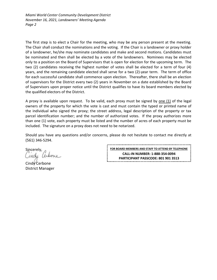*Miami World Center Community Development District November 16, 2021, Landowners' Meeting Agenda Page 2* 

 The first step is to elect a Chair for the meeting, who may be any person present at the meeting. The Chair shall conduct the nominations and the voting. If the Chair is a landowner or proxy holder of a landowner, he/she may nominate candidates and make and second motions. Candidates must be nominated and then shall be elected by a vote of the landowners. Nominees may be elected only to a position on the Board of Supervisors that is open for election for the upcoming term. The two (2) candidates receiving the highest number of votes shall be elected for a term of four (4) years, and the remaining candidate elected shall serve for a two (2)-year term. The term of office for each successful candidate shall commence upon election. Thereafter, there shall be an election of supervisors for the District every two (2) years in November on a date established by the Board of Supervisors upon proper notice until the District qualifies to have its board members elected by the qualified electors of the District.

A proxy is available upon request. To be valid, each proxy must be signed by <u>one (1)</u> of the legal owners of the property for which the vote is cast and must contain the typed or printed name of the individual who signed the proxy; the street address, legal description of the property or tax parcel identification number; and the number of authorized votes. If the proxy authorizes more than one (1) vote, each property must be listed and the number of acres of each property must be included. The signature on a proxy does not need to be notarized.

 Should you have any questions and/or concerns, please do not hesitate to contact me directly at (561) 346-5294.

Sincerely, indu

Cindy Cerbone District Manager

**FOR BOARD MEMBERS AND STAFF TO ATTEND BY TELEPHONE CALL-IN NUMBER: 1-888-354-0094 PARTICIPANT PASSCODE: 801 901 3513**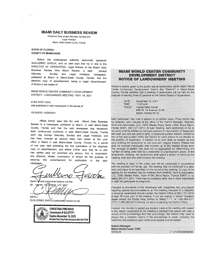#### **MIAMI DAILY BUSINESS REVIEW**

Published Daily except Saturday, Sunday and Legal Holidays Miami, Miami-Dade County, Florida

#### **STATE OF FLORIDA COUNTY OF MIAMI-DADE:**

Before the undersigned authority personally appeared GUILLERMO GARCIA, who on oath says that he or she is the DIRECTOR OF OPERATIONS, Legal Notices of the Miami Daily Business Review f/k/a Miami Review, a daily (except<br>Saturday, Sunday and Legal Holidays) nowspaper Sunday and Legal Holidays) newspaper, published at Miami in Miami-Dade County, Florida; that the attached copy of advertisement, being a Legal Advertisement of Notice in the matter of

MIAMI WORLD CENTER COMMUNITY DEVELOPMENT DISTRICT - LANDOWNERS' MEETING - NOV. 16, 2021

in the XXXX Court, was published in said newspaper in the issues of

#### 10/19/2021 10/26/2021

Affiant further says that the said Miami Daily Business Review is a newspaper published at Miami, in said Miami-Dade County, Florida and that the said newspaper has heretofore been continuously published in said Miami-Dade County, Florida each day (except Saturday, Sunday and Legal Holidays) and has been entered as second class mail matter at the post office in Miami in said Miami-Dade County, Florida, for a period of one year next preceding the first publication of the attached copy of advertisement; and affiant further says that he or she has neither paid nor promised any person, firm or corporation any discount, rebate, commission or refund for the purpose of securing this advertisement for publication in the said newspaper

Sworn of and subscribed before me this 26 OCTOBER, A.D. 2021 day

(SEAL)

GUILLERMO GARCIA personally known to me



#### MIAMI WORLD CENTER COMMUNITY DEVELOPMENT DISTRICT **NOTICE OF LANDOWNERS' MEETING**

Notice is hereby given to the public and all landowners within Miami World Center Community Development District (the "District") in Miami-Dade County, Florida advising that a meeting of landowners will be held for the purpose of electing three (3) persons to the District Board of Supervisors.

| DATE:  | November 16, 2021       |
|--------|-------------------------|
| TIME:  | 11:00 A.M.              |
| PLACE: | Caoba Sales Center      |
|        | 698 NE 1st Avenue, G188 |
|        | Miami Florida 33132     |

Miami, Florida 33132 Each landowner may vote in person or by written proxy. Proxy forms may be obtained upon request at the office of the District Manager, Wrathell, Hunt and Associates, LLC, 2300 Glades Road, Suite 410W, Boca Raton, Florida 33431, (561) 571-0010. At said meeting, each landowner or his or her proxy shall be entitled to nominate persons for the position of. Supervisor and cast one vote per acre of land, or fractional portion thereof, owned by him or her and located within the District for each person to be elected to the position of Supervisor. A fraction of an acre shall be treated as one acre, entitling the landowner to one vote with respect thereto. Platted lots shall be counted individually and rounded up to the nearest whole acre. The acreage of platted lots shall not be aggregated for determining the number of voting units held by a landowner or a landowner's proxy. At the landowners' meeting, the landowners shall select a person to serve as the

The meeting is open to the public and will be conducted in accordance with the provision of Florida Law. The meeting may be continued to a date, time, and place to be specified on the record at the meeting. A copy of the agenda for the meeting may be obtained from Wrathell, Hunt & Associates, LLC, 2300 Glades Road, Suite 410W, Boca Raton, Florida 33431 or by calling (561) 571-0010. There may be occasions when one or more Supervisors or staff will participate by telephone.

meeting chair and who shall conduct the meeting.

Pursuant to provisions of the Americans with Disabilities Act, any person requiring special accommodations at this meeting because of a disability or physical impairment should contact the District Office at (561) 571-0010 at least 48 hours prior to the meeting. If you are hearing or speech impaired, please contact the Florida Relay Service by dialing 7-1-1, or 1-800-955-8771 (TTY) / 1-800-955-8770 (Voice), for aid in contacting the District Office.

A person who decides to appeal any decision made at the meeting with respect to any matter considered at the meeting is advised that person will need a record of the proceedings and that accordingly, the person may need to ensure that a verbatim record of the proceedings is made, including the testimony and evidence upon which such.appeal is to be based.

**District Manager Miami World Center CDD** 

10/19~26 . 21-01/0000555990M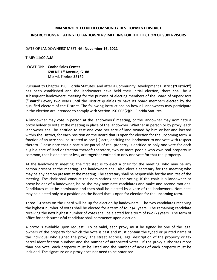#### **MIAMI WORLD CENTER COMMUNITY DEVELOPMENT DISTRICT INSTRUCTIONS RELATING TO LANDOWNERS' MEETING FOR THE ELECTION OF SUPERVISORS**

DATE OF LANDOWNERS' MEETING: **November 16, 2021** 

TIME: **11:00 A.M.** 

#### LOCATION: **Coaba Sales Center Miami, Florida 33132 698 NE 1st Avenue, G188**

 Pursuant to Chapter 190, Florida Statutes, and after a Community Development District **("District")** has been established and the landowners have held their initial election, there shall be a **("Board")** every two years until the District qualifies to have its board members elected by the qualified electors of the District. The following instructions on how all landowners may participate in the election are intended to comply with Section 190.006(2)(b), Florida Statutes. subsequent landowners' meeting for the purpose of electing members of the Board of Supervisors

 A landowner may vote in person at the landowners' meeting, or the landowner may nominate a proxy holder to vote at the meeting in place of the landowner. Whether in person or by proxy, each landowner shall be entitled to cast one vote per acre of land owned by him or her and located within the District, for each position on the Board that is open for election for the upcoming term. A fraction of an acre shall be treated as one (1) acre, entitling the landowner to one vote with respect thereto. Please note that a particular parcel of real property is entitled to only one vote for each eligible acre of land or fraction thereof; therefore, two or more people who own real property in common, that is one acre or less, are together entitled to only one vote for that real property**.** 

 At the landowners' meeting, the first step is to elect a chair for the meeting, who may be any person present at the meeting. The landowners shall also elect a secretary for the meeting who may be any person present at the meeting. The secretary shall be responsible for the minutes of the meeting. The chair shall conduct the nominations and the voting. If the chair is a landowner or proxy holder of a landowner, he or she may nominate candidates and make and second motions. Candidates must be nominated and then shall be elected by a vote of the landowners. Nominees may be elected only to a position on the Board that is open for election for the upcoming term.

 Three (3) seats on the Board will be up for election by landowners. The two candidates receiving the highest number of votes shall be elected for a term of four (4) years. The remaining candidate receiving the next highest number of votes shall be elected for a term of two (2) years. The term of office for each successful candidate shall commence upon election.

A proxy is available upon request. To be valid, each proxy must be signed by <u>one</u> of the legal owners of the property for which the vote is cast and must contain the typed or printed name of the individual who signed the proxy; the street address, legal description of the property or tax parcel identification number; and the number of authorized votes. If the proxy authorizes more than one vote, each property must be listed and the number of acres of each property must be included. The signature on a proxy does not need to be notarized.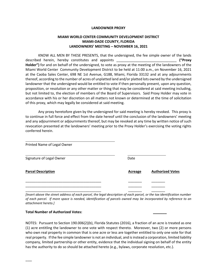#### **LANDOWNER PROXY**

#### **MIAMI WORLD CENTER COMMUNITY DEVELOPMENT DISTRICT MIAMI-DADE COUNTY, FLORIDA LANDOWNERS' MEETING – NOVEMBER 16, 2021**

 KNOW ALL MEN BY THESE PRESENTS, that the undersigned, the fee simple owner of the lands **Holder")** for and on behalf of the undersigned, to vote as proxy at the meeting of the landowners of the Miami World Center Community Development District to be held at 11:00 a.m., on November 16, 2021 at the Caoba Sales Center, 698 NE 1st Avenue, G188, Miami, Florida 33132 and at any adjournments thereof, according to the number of acres of unplatted land and/or platted lots owned by the undersigned but not limited to, the election of members of the Board of Supervisors. Said Proxy Holder may vote in accordance with his or her discretion on all matters not known or determined at the time of solicitation described herein, hereby constitutes and appoints \_\_\_\_\_\_\_\_\_\_\_\_\_\_\_\_\_\_\_\_\_\_\_\_\_\_\_\_\_\_\_ **("Proxy** landowner that the undersigned would be entitled to vote if then personally present, upon any question, proposition, or resolution or any other matter or thing that may be considered at said meeting including, of this proxy, which may legally be considered at said meeting.

 Any proxy heretofore given by the undersigned for said meeting is hereby revoked. This proxy is to continue in full force and effect from the date hereof until the conclusion of the landowners' meeting and any adjournment or adjournments thereof, but may be revoked at any time by written notice of such revocation presented at the landowners' meeting prior to the Proxy Holder's exercising the voting rights conferred herein.

| Printed Name of Legal Owner |                |                         |
|-----------------------------|----------------|-------------------------|
| Signature of Legal Owner    | Date           |                         |
| <b>Parcel Description</b>   | <b>Acreage</b> | <b>Authorized Votes</b> |
|                             |                |                         |
|                             |                |                         |
|                             |                |                         |

 *[Insert above the street address of each parcel, the legal description of each parcel, or the tax identification number of each parcel. If more space is needed, identification of parcels owned may be incorporated by reference to an attachment hereto.]* 

#### **Total Number of Authorized Votes: \_\_\_\_\_\_\_**

 $\overline{\phantom{a}}$ 

 (1) acre entitling the landowner to one vote with respect thereto. Moreover, two (2) or more persons who own real property in common that is one acre or less are together entitled to only one vote for that real property. If the fee simple landowner is not an individual, and is instead a corporation, limited liability company, limited partnership or other entity, evidence that the individual signing on behalf of the entity NOTES: Pursuant to Section 190.006(2)(b), Florida Statutes (2016), a fraction of an acre is treated as one has the authority to do so should be attached hereto (e.g., bylaws, corporate resolution, etc.).